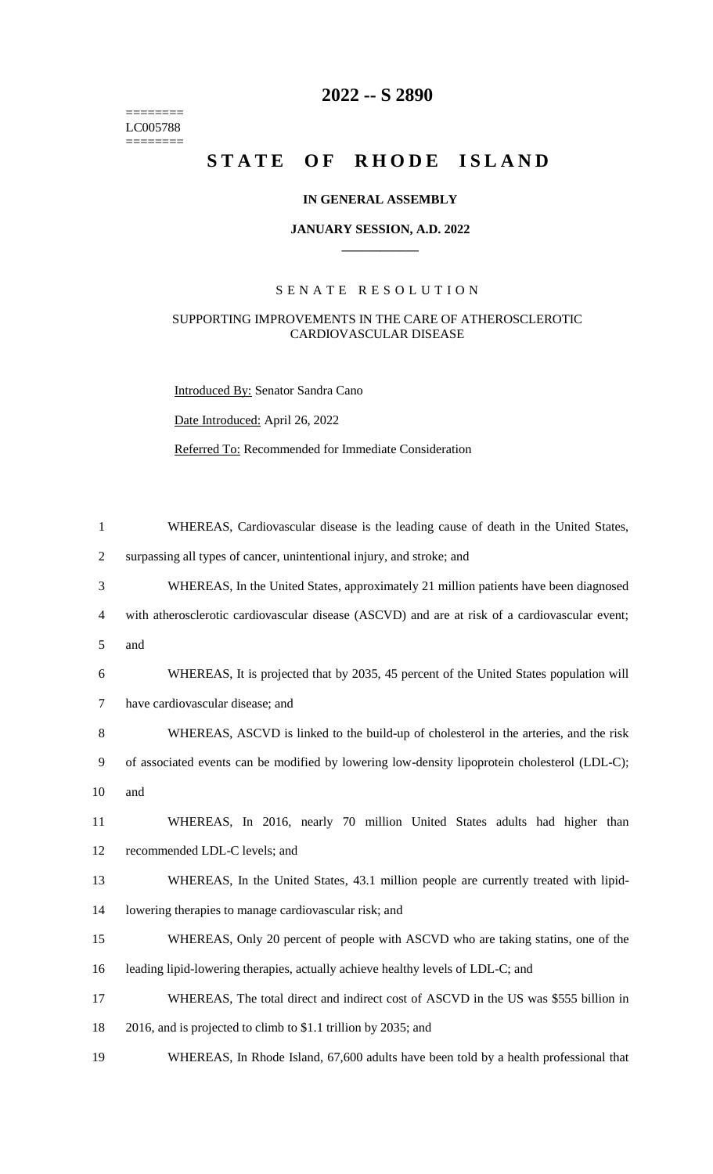======== LC005788  $=$ 

# **2022 -- S 2890**

# STATE OF RHODE ISLAND

### **IN GENERAL ASSEMBLY**

#### **JANUARY SESSION, A.D. 2022 \_\_\_\_\_\_\_\_\_\_\_\_**

## S E N A T E R E S O L U T I O N

#### SUPPORTING IMPROVEMENTS IN THE CARE OF ATHEROSCLEROTIC CARDIOVASCULAR DISEASE

Introduced By: Senator Sandra Cano

Date Introduced: April 26, 2022

Referred To: Recommended for Immediate Consideration

| $\mathbf{1}$   | WHEREAS, Cardiovascular disease is the leading cause of death in the United States,            |
|----------------|------------------------------------------------------------------------------------------------|
| $\overline{2}$ | surpassing all types of cancer, unintentional injury, and stroke; and                          |
| 3              | WHEREAS, In the United States, approximately 21 million patients have been diagnosed           |
| $\overline{4}$ | with atherosclerotic cardiovascular disease (ASCVD) and are at risk of a cardiovascular event; |
| 5              | and                                                                                            |
| 6              | WHEREAS, It is projected that by 2035, 45 percent of the United States population will         |
| $\tau$         | have cardiovascular disease; and                                                               |
| 8              | WHEREAS, ASCVD is linked to the build-up of cholesterol in the arteries, and the risk          |
| 9              | of associated events can be modified by lowering low-density lipoprotein cholesterol (LDL-C);  |
| 10             | and                                                                                            |
| 11             | WHEREAS, In 2016, nearly 70 million United States adults had higher than                       |
| 12             | recommended LDL-C levels; and                                                                  |
| 13             | WHEREAS, In the United States, 43.1 million people are currently treated with lipid-           |
| 14             | lowering therapies to manage cardiovascular risk; and                                          |
| 15             | WHEREAS, Only 20 percent of people with ASCVD who are taking statins, one of the               |
| 16             | leading lipid-lowering therapies, actually achieve healthy levels of LDL-C; and                |
| 17             | WHEREAS, The total direct and indirect cost of ASCVD in the US was \$555 billion in            |
| 18             | 2016, and is projected to climb to \$1.1 trillion by 2035; and                                 |
| 19             | WHEREAS, In Rhode Island, 67,600 adults have been told by a health professional that           |